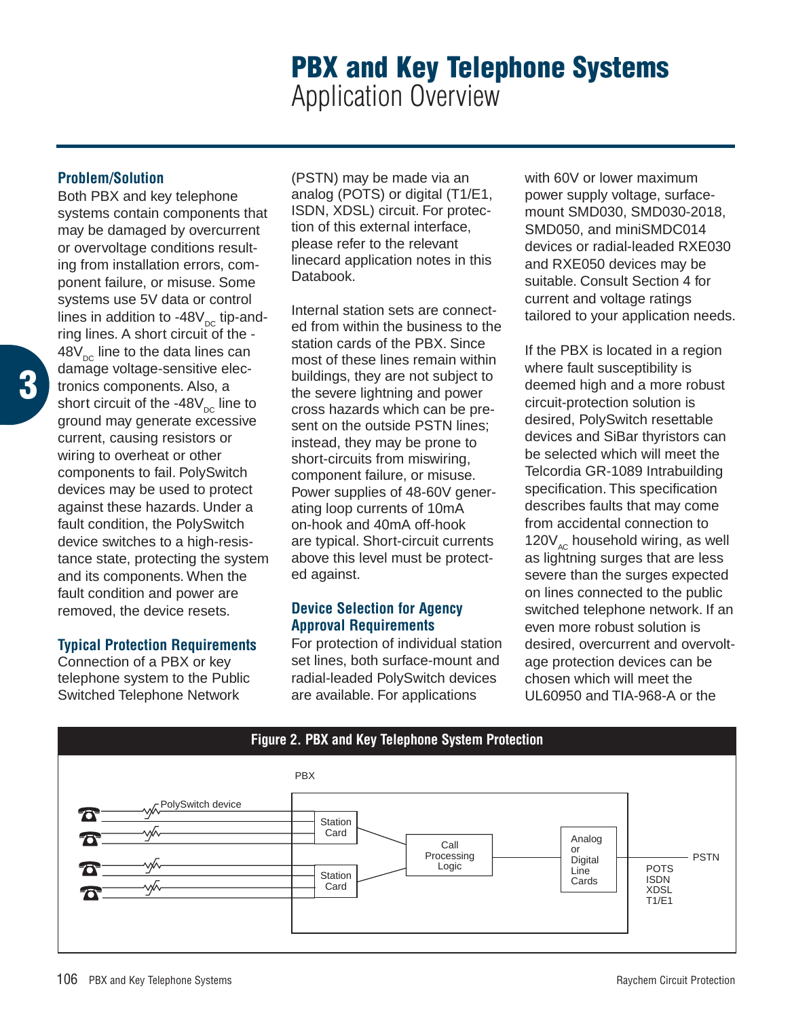## **PBX and Key Telephone Systems** Application Overview

## **Problem/Solution**

Both PBX and key telephone systems contain components that may be damaged by overcurrent or overvoltage conditions resulting from installation errors, component failure, or misuse. Some systems use 5V data or control lines in addition to -48 $V_{\text{DC}}$  tip-andring lines. A short circuit of the -  $48V_{\infty}$  line to the data lines can damage voltage-sensitive electronics components. Also, a short circuit of the -48 $V_{\text{DC}}$  line to ground may generate excessive current, causing resistors or wiring to overheat or other components to fail. PolySwitch devices may be used to protect against these hazards. Under a fault condition, the PolySwitch device switches to a high-resistance state, protecting the system and its components. When the fault condition and power are removed, the device resets.

## **Typical Protection Requirements**

Connection of a PBX or key telephone system to the Public Switched Telephone Network

(PSTN) may be made via an analog (POTS) or digital (T1/E1, ISDN, XDSL) circuit. For protection of this external interface, please refer to the relevant linecard application notes in this Databook.

Internal station sets are connected from within the business to the station cards of the PBX. Since most of these lines remain within buildings, they are not subject to the severe lightning and power cross hazards which can be present on the outside PSTN lines; instead, they may be prone to short-circuits from miswiring, component failure, or misuse. Power supplies of 48-60V generating loop currents of 10mA on-hook and 40mA off-hook are typical. Short-circuit currents above this level must be protected against.

## **Device Selection for Agency Approval Requirements**

For protection of individual station set lines, both surface-mount and radial-leaded PolySwitch devices are available. For applications

with 60V or lower maximum power supply voltage, surfacemount SMD030, SMD030-2018, SMD050, and miniSMDC014 devices or radial-leaded RXE030 and RXE050 devices may be suitable. Consult Section 4 for current and voltage ratings tailored to your application needs.

If the PBX is located in a region where fault susceptibility is deemed high and a more robust circuit-protection solution is desired, PolySwitch resettable devices and SiBar thyristors can be selected which will meet the Telcordia GR-1089 Intrabuilding specification. This specification describes faults that may come from accidental connection to 120 $V_{AC}$  household wiring, as well as lightning surges that are less severe than the surges expected on lines connected to the public switched telephone network. If an even more robust solution is desired, overcurrent and overvoltage protection devices can be chosen which will meet the UL60950 and TIA-968-A or the